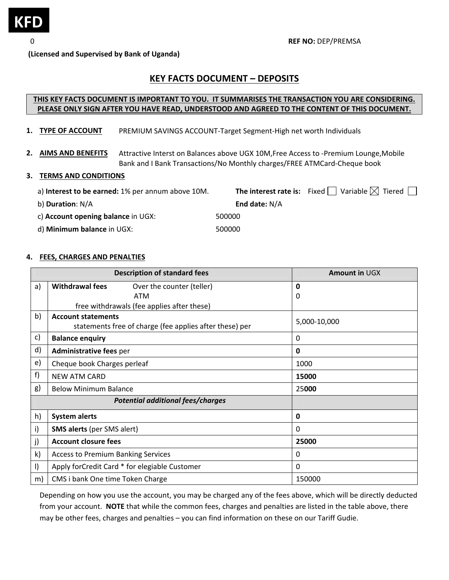

 **(Licensed and Supervised by Bank of Uganda)**

# **KEY FACTS DOCUMENT – DEPOSITS**

## **THIS KEY FACTS DOCUMENT IS IMPORTANT TO YOU. IT SUMMARISES THE TRANSACTION YOU ARE CONSIDERING. PLEASE ONLY SIGN AFTER YOU HAVE READ, UNDERSTOOD AND AGREED TO THE CONTENT OF THIS DOCUMENT.**

- **1. TYPE OF ACCOUNT**  PREMIUM SAVINGS ACCOUNT‐Target Segment‐High net worth Individuals
- **2. AIMS AND BENEFITS**  Attractive Interst on Balances above UGX 10M,Free Access to ‐Premium Lounge,Mobile Bank and I Bank Transactions/No Monthly charges/FREE ATMCard‐Cheque book

#### **3. TERMS AND CONDITIONS**

| a) Interest to be earned: 1% per annum above 10M. |                      | <b>The interest rate is:</b> Fixed $\Box$ Variable $\boxtimes$ Tiered $\Box$ |
|---------------------------------------------------|----------------------|------------------------------------------------------------------------------|
| b) Duration: N/A                                  | <b>End date: N/A</b> |                                                                              |
| c) Account opening balance in UGX:                | 500000               |                                                                              |
| d) Minimum balance in UGX:                        | 500000               |                                                                              |

### **4. FEES, CHARGES AND PENALTIES**

|              | <b>Description of standard fees</b>                     | Amount in UGX |  |  |  |  |
|--------------|---------------------------------------------------------|---------------|--|--|--|--|
| a)           | <b>Withdrawal fees</b><br>Over the counter (teller)     | 0             |  |  |  |  |
|              | <b>ATM</b>                                              | 0             |  |  |  |  |
|              | free withdrawals (fee applies after these)              |               |  |  |  |  |
| b)           | <b>Account statements</b>                               | 5,000-10,000  |  |  |  |  |
|              | statements free of charge (fee applies after these) per |               |  |  |  |  |
| c)           | <b>Balance enquiry</b>                                  | 0             |  |  |  |  |
| d)           | <b>Administrative fees per</b>                          | 0             |  |  |  |  |
| $\mathsf{e}$ | Cheque book Charges perleaf                             | 1000          |  |  |  |  |
| f)           | <b>NEW ATM CARD</b>                                     | 15000         |  |  |  |  |
| g)           | <b>Below Minimum Balance</b>                            | 25000         |  |  |  |  |
|              | <b>Potential additional fees/charges</b>                |               |  |  |  |  |
| h)           | <b>System alerts</b>                                    | 0             |  |  |  |  |
| i)           | <b>SMS alerts (per SMS alert)</b>                       | 0             |  |  |  |  |
| j)           | <b>Account closure fees</b>                             | 25000         |  |  |  |  |
| k)           | <b>Access to Premium Banking Services</b>               | 0             |  |  |  |  |
| $\vert$      | Apply forCredit Card * for elegiable Customer           | 0             |  |  |  |  |
| m)           | CMS i bank One time Token Charge                        | 150000        |  |  |  |  |

Depending on how you use the account, you may be charged any of the fees above, which will be directly deducted from your account.  **NOTE** that while the common fees, charges and penalties are listed in the table above, there may be other fees, charges and penalties – you can find information on these on our Tariff Gudie.